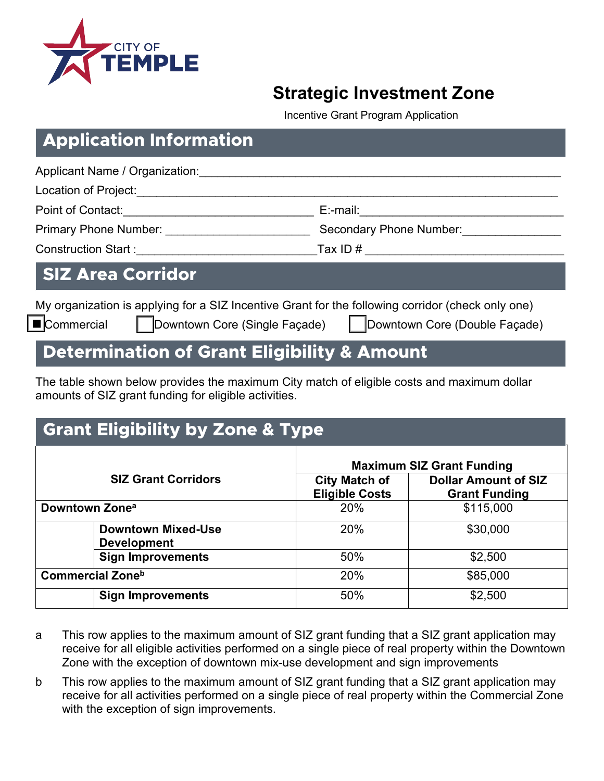

### **Strategic Investment Zone**

Incentive Grant Program Application

**Downtown Core (Single Façade) | Downtown Core (Double Façade)** 

### **Application Information**

| Applicant Name / Organization:                                                                                                                                                                                                      |                                                                                                   |
|-------------------------------------------------------------------------------------------------------------------------------------------------------------------------------------------------------------------------------------|---------------------------------------------------------------------------------------------------|
| Location of Project:                                                                                                                                                                                                                |                                                                                                   |
| Point of Contact: <u>_______________________</u>                                                                                                                                                                                    | E:-mail:                                                                                          |
| <b>Primary Phone Number:</b> Name of the Second Second Second Second Second Second Second Second Second Second Second Second Second Second Second Second Second Second Second Second Second Second Second Second Second Second Seco | Secondary Phone Number:                                                                           |
| Construction Start : <u>_____________</u>                                                                                                                                                                                           | Tax ID $#$                                                                                        |
| <b>SIZ Area Corridor</b>                                                                                                                                                                                                            |                                                                                                   |
|                                                                                                                                                                                                                                     | My organization is applying for a SIZ Incentive Grant for the following corridor (check only one) |
| $\blacksquare$ Commercial<br>Downtown Core (Single Façade)                                                                                                                                                                          | Downtown Core (Double Façade)                                                                     |

### **Determination of Grant Eligibility & Amount**

The table shown below provides the maximum City match of eligible costs and maximum dollar amounts of SIZ grant funding for eligible activities.

| <b>Grant Eligibility by Zone &amp; Type</b>     |                                               |                                                     |  |
|-------------------------------------------------|-----------------------------------------------|-----------------------------------------------------|--|
|                                                 | <b>Maximum SIZ Grant Funding</b>              |                                                     |  |
| <b>SIZ Grant Corridors</b>                      | <b>City Match of</b><br><b>Eligible Costs</b> | <b>Dollar Amount of SIZ</b><br><b>Grant Funding</b> |  |
| Downtown Zone <sup>a</sup>                      | 20%                                           | \$115,000                                           |  |
| <b>Downtown Mixed-Use</b><br><b>Development</b> | 20%                                           | \$30,000                                            |  |
| <b>Sign Improvements</b>                        | 50%                                           | \$2,500                                             |  |
| <b>Commercial Zone</b> b                        | 20%                                           | \$85,000                                            |  |
| <b>Sign Improvements</b>                        | 50%                                           | \$2,500                                             |  |

- a This row applies to the maximum amount of SIZ grant funding that a SIZ grant application may receive for all eligible activities performed on a single piece of real property within the Downtown Zone with the exception of downtown mix-use development and sign improvements
- b This row applies to the maximum amount of SIZ grant funding that a SIZ grant application may receive for all activities performed on a single piece of real property within the Commercial Zone with the exception of sign improvements.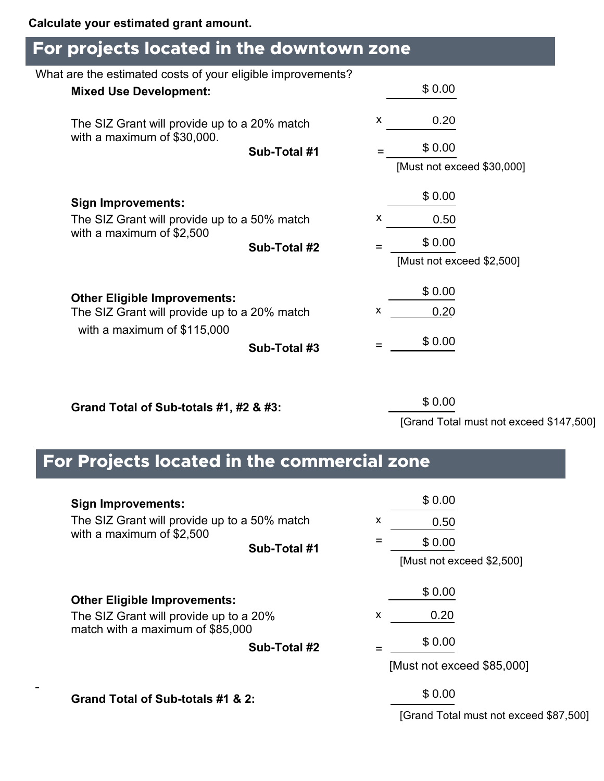### **For projects located in the downtown zone**

| What are the estimated costs of your eligible improvements?                 |              |   |                                           |  |
|-----------------------------------------------------------------------------|--------------|---|-------------------------------------------|--|
| <b>Mixed Use Development:</b>                                               |              |   | \$0.00                                    |  |
| The SIZ Grant will provide up to a 20% match<br>with a maximum of \$30,000. |              | X | 0.20                                      |  |
|                                                                             | Sub-Total #1 | = | \$0.00                                    |  |
|                                                                             |              |   | [Must not exceed \$30,000]                |  |
| <b>Sign Improvements:</b>                                                   |              |   | \$0.00                                    |  |
| The SIZ Grant will provide up to a 50% match                                |              | x | 0.50                                      |  |
| with a maximum of \$2,500                                                   | Sub-Total #2 |   | \$0.00                                    |  |
|                                                                             |              |   | [Must not exceed \$2,500]                 |  |
| <b>Other Eligible Improvements:</b>                                         |              |   | \$0.00                                    |  |
| The SIZ Grant will provide up to a 20% match                                |              | x | 0.20                                      |  |
| with a maximum of \$115,000                                                 | Sub-Total #3 |   | \$0.00                                    |  |
| Grand Total of Sub-totals #1, #2 & #3:                                      |              |   | \$0.00<br>[Grand Total must not exceed \$ |  |
| For Projects located in the commercial zone                                 |              |   |                                           |  |
| <b>Sign Improvements:</b>                                                   |              |   | \$0.00                                    |  |
| The SIZ Grant will provide up to a 50% match                                |              | x | 0.50                                      |  |
| with a maximum of \$2,500                                                   | Sub-Total #1 | Ξ | \$0.00                                    |  |
|                                                                             |              |   | [Must not exceed \$2,500]                 |  |
| <b>Other Eligible Improvements:</b>                                         |              |   | \$0.00                                    |  |
| The SIZ Grant will provide up to a 20%                                      |              | X | 0.20                                      |  |
| match with a maximum of \$85,000                                            |              |   | \$0.00                                    |  |
|                                                                             | Sub-Total #2 |   | [Must not exceed \$85,000]                |  |
| Grand Total of Sub totale #1 & 2:                                           |              |   | \$0.00                                    |  |

[Grand Total must not exceed \$147,500]

# **| For Projects located in the commercial zone**

| <b>Sign Improvements:</b><br>The SIZ Grant will provide up to a 50% match<br>with a maximum of \$2,500            | Sub-Total #1 | \$0.00<br>X<br>0.50<br>\$0.00<br>[Must not exceed \$2,500]  |
|-------------------------------------------------------------------------------------------------------------------|--------------|-------------------------------------------------------------|
| <b>Other Eligible Improvements:</b><br>The SIZ Grant will provide up to a 20%<br>match with a maximum of \$85,000 | Sub-Total #2 | \$0.00<br>0.20<br>X<br>\$0.00<br>[Must not exceed \$85,000] |
| Grand Total of Sub-totals #1 & 2:                                                                                 |              | \$0.00<br>[Grand Total must not exceed \$87,500]            |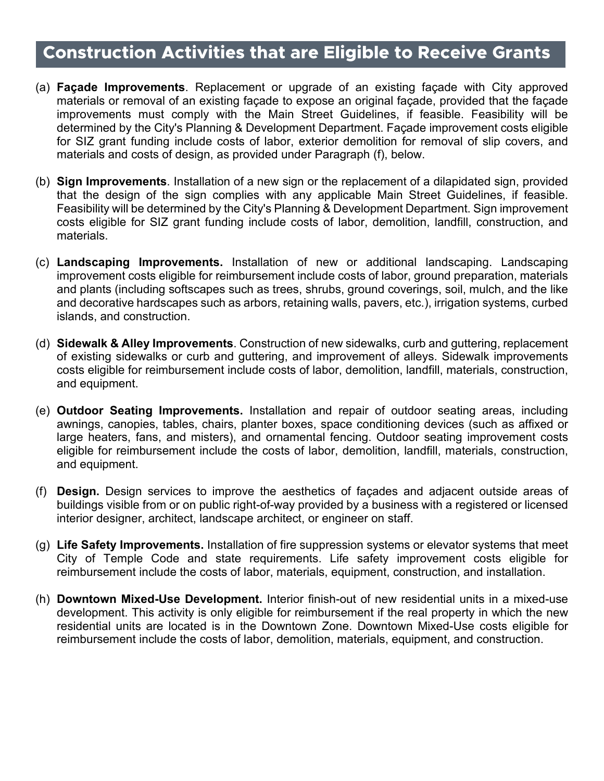## **| Construction Activities that are Eligible to Receive Grants**

- (a) **Façade Improvements**. Replacement or upgrade of an existing façade with City approved materials or removal of an existing façade to expose an original façade, provided that the façade improvements must comply with the Main Street Guidelines, if feasible. Feasibility will be determined by the City's Planning & Development Department. Façade improvement costs eligible for SIZ grant funding include costs of labor, exterior demolition for removal of slip covers, and materials and costs of design, as provided under Paragraph (f), below.
- (b) **Sign Improvements**. Installation of a new sign or the replacement of a dilapidated sign, provided that the design of the sign complies with any applicable Main Street Guidelines, if feasible. Feasibility will be determined by the City's Planning & Development Department. Sign improvement costs eligible for SIZ grant funding include costs of labor, demolition, landfill, construction, and materials.
- (c) **Landscaping Improvements.** Installation of new or additional landscaping. Landscaping improvement costs eligible for reimbursement include costs of labor, ground preparation, materials and plants (including softscapes such as trees, shrubs, ground coverings, soil, mulch, and the like and decorative hardscapes such as arbors, retaining walls, pavers, etc.), irrigation systems, curbed islands, and construction.
- (d) **Sidewalk & Alley Improvements**. Construction of new sidewalks, curb and guttering, replacement of existing sidewalks or curb and guttering, and improvement of alleys. Sidewalk improvements costs eligible for reimbursement include costs of labor, demolition, landfill, materials, construction, and equipment.
- (e) **Outdoor Seating Improvements.** Installation and repair of outdoor seating areas, including awnings, canopies, tables, chairs, planter boxes, space conditioning devices (such as affixed or large heaters, fans, and misters), and ornamental fencing. Outdoor seating improvement costs eligible for reimbursement include the costs of labor, demolition, landfill, materials, construction, and equipment.
- (f) **Design.** Design services to improve the aesthetics of façades and adjacent outside areas of buildings visible from or on public right-of-way provided by a business with a registered or licensed interior designer, architect, landscape architect, or engineer on staff.
- (g) **Life Safety Improvements.** Installation of fire suppression systems or elevator systems that meet City of Temple Code and state requirements. Life safety improvement costs eligible for reimbursement include the costs of labor, materials, equipment, construction, and installation.
- (h) **Downtown Mixed-Use Development.** Interior finish-out of new residential units in a mixed-use development. This activity is only eligible for reimbursement if the real property in which the new residential units are located is in the Downtown Zone. Downtown Mixed-Use costs eligible for reimbursement include the costs of labor, demolition, materials, equipment, and construction.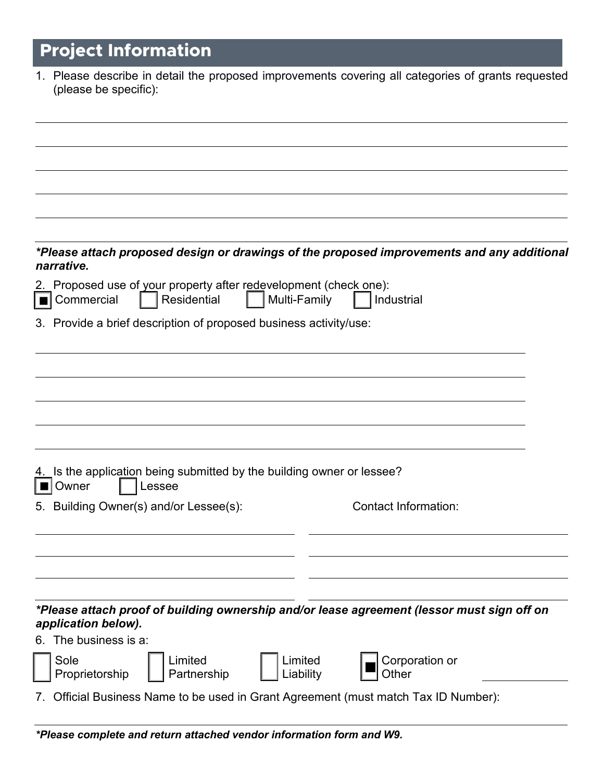# **Project Information**

| 1. Please describe in detail the proposed improvements covering all categories of grants requested<br>(please be specific): |
|-----------------------------------------------------------------------------------------------------------------------------|
|                                                                                                                             |
|                                                                                                                             |
|                                                                                                                             |
|                                                                                                                             |
|                                                                                                                             |
|                                                                                                                             |
| *Please attach proposed design or drawings of the proposed improvements and any additional<br>narrative.                    |
| Proposed use of your property after redevelopment (check one):<br>2.                                                        |
| <b>T</b> Commercial<br>Residential<br>Multi-Family<br>  Industrial                                                          |
| 3. Provide a brief description of proposed business activity/use:                                                           |
|                                                                                                                             |
|                                                                                                                             |
|                                                                                                                             |
|                                                                                                                             |
|                                                                                                                             |
| 4. Is the application being submitted by the building owner or lessee?<br>Owner<br>Lessee                                   |
| 5. Building Owner(s) and/or Lessee(s):<br>Contact Information:                                                              |
|                                                                                                                             |
|                                                                                                                             |
|                                                                                                                             |
|                                                                                                                             |
| *Please attach proof of building ownership and/or lease agreement (lessor must sign off on<br>application below).           |
| 6. The business is a:                                                                                                       |
| Sole<br>Limited<br>Limited<br>Corporation or                                                                                |
| Proprietorship<br>Partnership<br>Liability<br>Other                                                                         |
| 7. Official Business Name to be used in Grant Agreement (must match Tax ID Number):                                         |
|                                                                                                                             |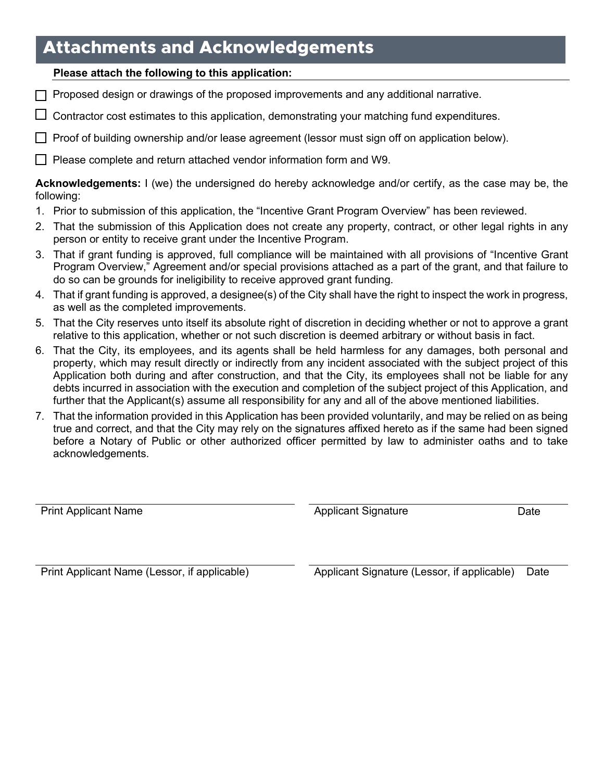### **Attachments and Acknowledgements**

#### **Please attach the following to this application:**

- $\Box$  Proposed design or drawings of the proposed improvements and any additional narrative.
- $\Box$  Contractor cost estimates to this application, demonstrating your matching fund expenditures.
- $\Box$  Proof of building ownership and/or lease agreement (lessor must sign off on application below).
- $\Box$  Please complete and return attached vendor information form and W9.

**Acknowledgements:** I (we) the undersigned do hereby acknowledge and/or certify, as the case may be, the following:

- 1. Prior to submission of this application, the "Incentive Grant Program Overview" has been reviewed.
- 2. That the submission of this Application does not create any property, contract, or other legal rights in any person or entity to receive grant under the Incentive Program.
- 3. That if grant funding is approved, full compliance will be maintained with all provisions of "Incentive Grant Program Overview," Agreement and/or special provisions attached as a part of the grant, and that failure to do so can be grounds for ineligibility to receive approved grant funding.
- 4. That if grant funding is approved, a designee(s) of the City shall have the right to inspect the work in progress, as well as the completed improvements.
- 5. That the City reserves unto itself its absolute right of discretion in deciding whether or not to approve a grant relative to this application, whether or not such discretion is deemed arbitrary or without basis in fact.
- 6. That the City, its employees, and its agents shall be held harmless for any damages, both personal and property, which may result directly or indirectly from any incident associated with the subject project of this Application both during and after construction, and that the City, its employees shall not be liable for any debts incurred in association with the execution and completion of the subject project of this Application, and further that the Applicant(s) assume all responsibility for any and all of the above mentioned liabilities.
- 7. That the information provided in this Application has been provided voluntarily, and may be relied on as being true and correct, and that the City may rely on the signatures affixed hereto as if the same had been signed before a Notary of Public or other authorized officer permitted by law to administer oaths and to take acknowledgements.

Print Applicant Name **Applicant Signature** Date

Print Applicant Name (Lessor, if applicable) Applicant Signature (Lessor, if applicable) Date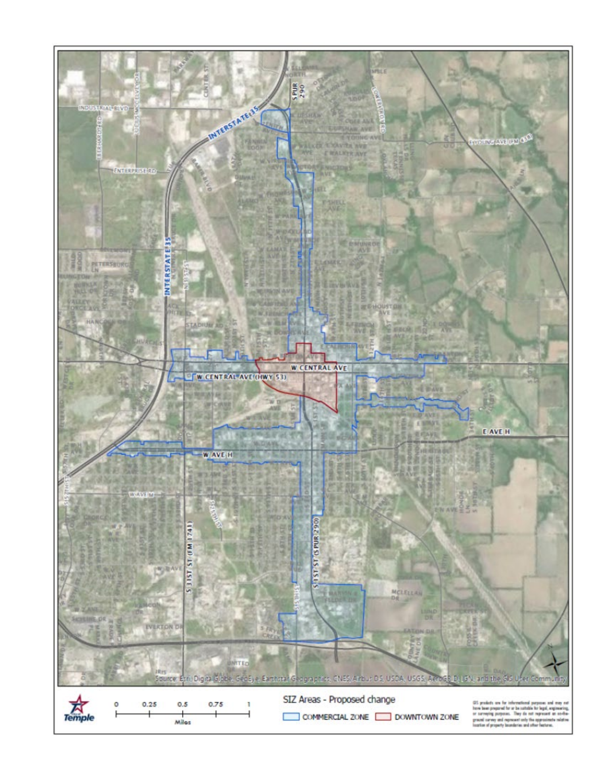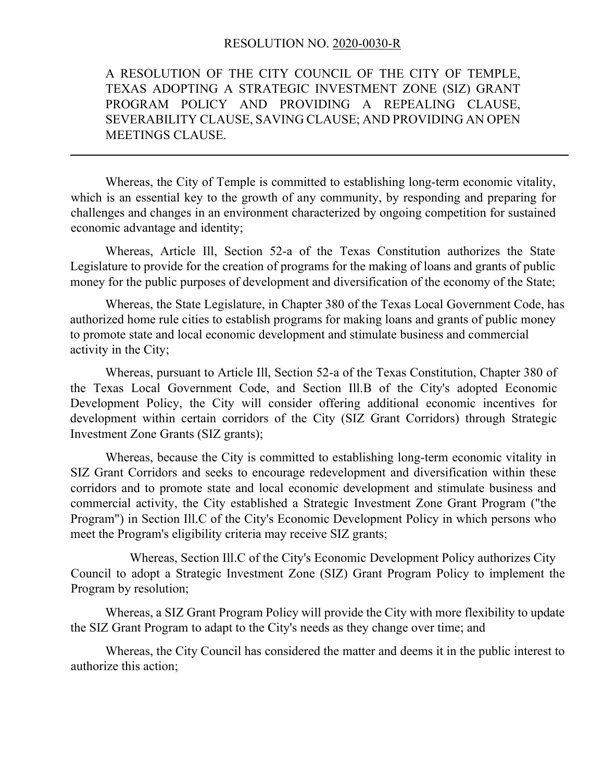#### RESOLUTION NO. 2020-0030-R

A RESOLUTION OF THE CITY COUNCIL OF THE CITY OF TEMPLE, TEXAS ADOPTING A STRATEGIC INVESTMENT ZONE (SIZ) GRANT PROGRAM POLICY AND PROVIDING A REPEALING CLAUSE, SEVERABILITY CLAUSE, SAVING CLAUSE; AND PROVIDING AN OPEN MEETINGS CLAUSE.

Whereas, the City of Temple is committed to establishing long-term economic vitality, which is an essential key to the growth of any community, by responding and preparing for challenges and changes in an environment characterized by ongoing competition for sustained economic advantage and identity;

Whereas, Article Ill, Section 52-a of the Texas Constitution authorizes the State Legislature to provide for the creation of programs for the making of loans and grants of public money for the public purposes of development and diversification of the economy of the State;

Whereas, the State Legislature, in Chapter 380 of the Texas Local Government Code, has authorized home rule cities to establish programs for making loans and grants of public money to promote state and local economic development and stimulate business and commercial activity in the City;

Whereas, pursuant to Article Ill, Section 52-a of the Texas Constitution, Chapter 380 of the Texas Local Government Code, and Section Ill.B of the City's adopted Economic Development Policy, the City will consider offering additional economic incentives for development within certain corridors of the City (SIZ Grant Corridors) through Strategic Investment Zone Grants (SIZ grants);

Whereas, because the City is committed to establishing long-term economic vitality in SIZ Grant Corridors and seeks to encourage redevelopment and diversification within these corridors and to promote state and local economic development and stimulate business and commercial activity, the City established a Strategic Investment Zone Grant Program ("the Program") in Section Ill.C of the City's Economic Development Policy in which persons who meet the Program's eligibility criteria may receive SIZ grants;

Whereas, Section Ill.C of the City's Economic Development Policy authorizes City Council to adopt a Strategic Investment Zone (SIZ) Grant Program Policy to implement the Program by resolution;

Whereas, a SIZ Grant Program Policy will provide the City with more flexibility to update the SIZ Grant Program to adapt to the City's needs as they change over time; and

Whereas, the City Council has considered the matter and deems it in the public interest to authorize this action;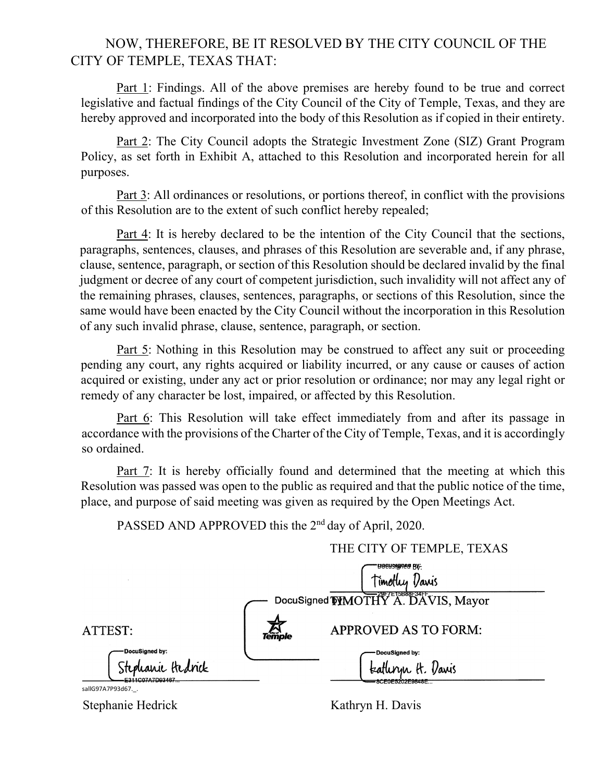#### NOW, THEREFORE, BE IT RESOLVED BY THE CITY COUNCIL OF THE CITY OF TEMPLE, TEXAS THAT:

Part 1: Findings. All of the above premises are hereby found to be true and correct legislative and factual findings of the City Council of the City of Temple, Texas, and they are hereby approved and incorporated into the body of this Resolution as if copied in their entirety.

Part 2: The City Council adopts the Strategic Investment Zone (SIZ) Grant Program Policy, as set forth in Exhibit A, attached to this Resolution and incorporated herein for all purposes.

Part 3: All ordinances or resolutions, or portions thereof, in conflict with the provisions of this Resolution are to the extent of such conflict hereby repealed;

Part 4: It is hereby declared to be the intention of the City Council that the sections, paragraphs, sentences, clauses, and phrases of this Resolution are severable and, if any phrase, clause, sentence, paragraph, or section of this Resolution should be declared invalid by the final judgment or decree of any court of competent jurisdiction, such invalidity will not affect any of the remaining phrases, clauses, sentences, paragraphs, or sections of this Resolution, since the same would have been enacted by the City Council without the incorporation in this Resolution of any such invalid phrase, clause, sentence, paragraph, or section.

Part 5: Nothing in this Resolution may be construed to affect any suit or proceeding pending any court, any rights acquired or liability incurred, or any cause or causes of action acquired or existing, under any act or prior resolution or ordinance; nor may any legal right or remedy of any character be lost, impaired, or affected by this Resolution.

Part 6: This Resolution will take effect immediately from and after its passage in accordance with the provisions of the Charter of the City of Temple, Texas, and it is accordingly so ordained.

Part 7: It is hereby officially found and determined that the meeting at which this Resolution was passed was open to the public as required and that the public notice of the time, place, and purpose of said meeting was given as required by the Open Meetings Act.

PASSED AND APPROVED this the 2<sup>nd</sup> day of April, 2020.

|                                                        | THE CITY OF TEMPLE, TEXAS                    |
|--------------------------------------------------------|----------------------------------------------|
|                                                        | BBEUSIAREA BV:<br>Timothy<br>Vanis           |
|                                                        | DocuSigned <b>TYMOTHY A. DAVIS, Mayor</b>    |
| ATTEST:                                                | <b>APPROVED AS TO FORM:</b><br><b>Temple</b> |
| DocuSigned by:<br>Stephanie Hedrick<br>E311C07A7D03467 | DocuSigned by:<br>teathryn H. Varis          |
| sallG97A7P93d67. .                                     | -8CEUE5202E9848E                             |

Stephanie Hedrick Kathryn H. Davis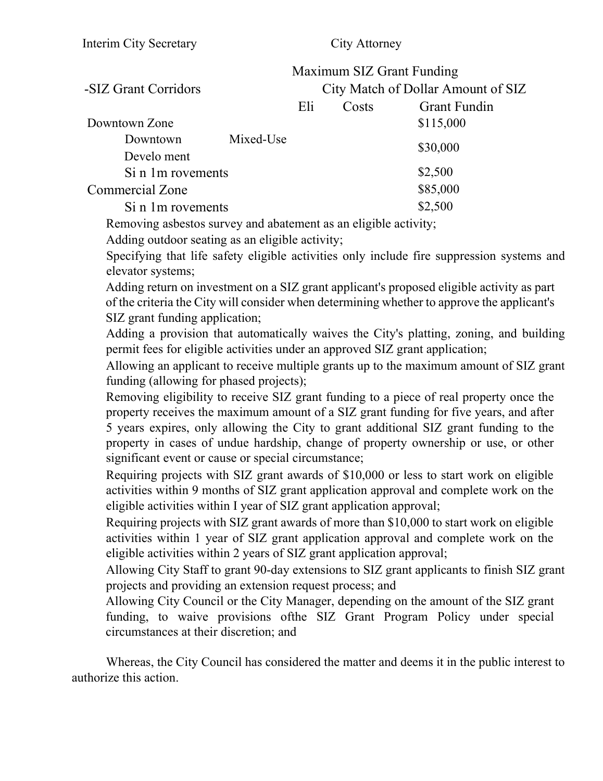|                        |           | Maximum SIZ Grant Funding |       |                                    |
|------------------------|-----------|---------------------------|-------|------------------------------------|
| -SIZ Grant Corridors   |           |                           |       | City Match of Dollar Amount of SIZ |
|                        |           | Eli                       | Costs | <b>Grant Fundin</b>                |
| Downtown Zone          |           |                           |       | \$115,000                          |
| Downtown               | Mixed-Use |                           |       | \$30,000                           |
| Develo ment            |           |                           |       |                                    |
| Si n 1m rovements      |           |                           |       | \$2,500                            |
| <b>Commercial Zone</b> |           |                           |       | \$85,000                           |
| Si n 1m rovements      |           |                           |       | \$2,500                            |
|                        |           |                           |       |                                    |

Removing asbestos survey and abatement as an eligible activity;

Adding outdoor seating as an eligible activity;

Specifying that life safety eligible activities only include fire suppression systems and elevator systems;

Adding return on investment on a SIZ grant applicant's proposed eligible activity as part of the criteria the City will consider when determining whether to approve the applicant's SIZ grant funding application;

Adding a provision that automatically waives the City's platting, zoning, and building permit fees for eligible activities under an approved SIZ grant application;

Allowing an applicant to receive multiple grants up to the maximum amount of SIZ grant funding (allowing for phased projects);

Removing eligibility to receive SIZ grant funding to a piece of real property once the property receives the maximum amount of a SIZ grant funding for five years, and after 5 years expires, only allowing the City to grant additional SIZ grant funding to the property in cases of undue hardship, change of property ownership or use, or other significant event or cause or special circumstance;

Requiring projects with SIZ grant awards of \$10,000 or less to start work on eligible activities within 9 months of SIZ grant application approval and complete work on the eligible activities within I year of SIZ grant application approval;

Requiring projects with SIZ grant awards of more than \$10,000 to start work on eligible activities within 1 year of SIZ grant application approval and complete work on the eligible activities within 2 years of SIZ grant application approval;

Allowing City Staff to grant 90-day extensions to SIZ grant applicants to finish SIZ grant projects and providing an extension request process; and

Allowing City Council or the City Manager, depending on the amount of the SIZ grant funding, to waive provisions ofthe SIZ Grant Program Policy under special circumstances at their discretion; and

Whereas, the City Council has considered the matter and deems it in the public interest to authorize this action.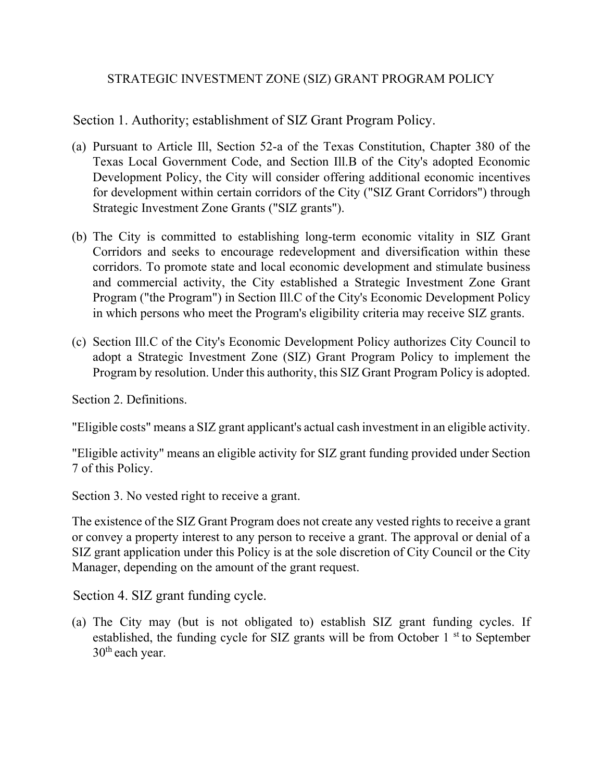#### STRATEGIC INVESTMENT ZONE (SIZ) GRANT PROGRAM POLICY

Section 1. Authority; establishment of SIZ Grant Program Policy.

- (a) Pursuant to Article Ill, Section 52-a of the Texas Constitution, Chapter 380 of the Texas Local Government Code, and Section Ill.B of the City's adopted Economic Development Policy, the City will consider offering additional economic incentives for development within certain corridors of the City ("SIZ Grant Corridors") through Strategic Investment Zone Grants ("SIZ grants").
- (b) The City is committed to establishing long-term economic vitality in SIZ Grant Corridors and seeks to encourage redevelopment and diversification within these corridors. To promote state and local economic development and stimulate business and commercial activity, the City established a Strategic Investment Zone Grant Program ("the Program") in Section Ill.C of the City's Economic Development Policy in which persons who meet the Program's eligibility criteria may receive SIZ grants.
- (c) Section Ill.C of the City's Economic Development Policy authorizes City Council to adopt a Strategic Investment Zone (SIZ) Grant Program Policy to implement the Program by resolution. Under this authority, this SIZ Grant Program Policy is adopted.

Section 2. Definitions.

"Eligible costs" means a SIZ grant applicant's actual cash investment in an eligible activity.

"Eligible activity" means an eligible activity for SIZ grant funding provided under Section 7 of this Policy.

Section 3. No vested right to receive a grant.

The existence of the SIZ Grant Program does not create any vested rights to receive a grant or convey a property interest to any person to receive a grant. The approval or denial of a SIZ grant application under this Policy is at the sole discretion of City Council or the City Manager, depending on the amount of the grant request.

Section 4. SIZ grant funding cycle.

(a) The City may (but is not obligated to) establish SIZ grant funding cycles. If established, the funding cycle for SIZ grants will be from October  $1<sup>st</sup>$  to September 30<sup>th</sup> each year.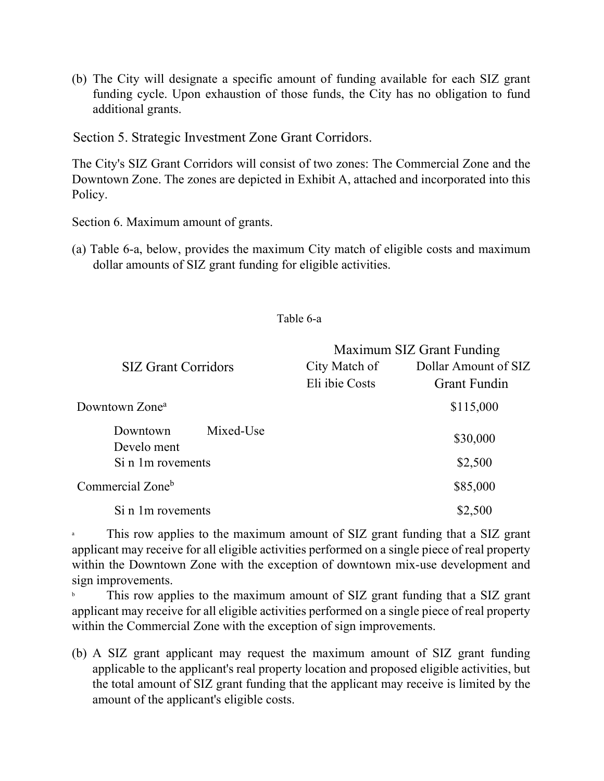(b) The City will designate a specific amount of funding available for each SIZ grant funding cycle. Upon exhaustion of those funds, the City has no obligation to fund additional grants.

Section 5. Strategic Investment Zone Grant Corridors.

The City's SIZ Grant Corridors will consist of two zones: The Commercial Zone and the Downtown Zone. The zones are depicted in Exhibit A, attached and incorporated into this Policy.

Section 6. Maximum amount of grants.

(a) Table 6-a, below, provides the maximum City match of eligible costs and maximum dollar amounts of SIZ grant funding for eligible activities.

#### Table 6-a

|                              | Maximum SIZ Grant Funding |                      |  |
|------------------------------|---------------------------|----------------------|--|
| <b>SIZ Grant Corridors</b>   | City Match of             | Dollar Amount of SIZ |  |
|                              | Eli ibie Costs            | <b>Grant Fundin</b>  |  |
| Downtown Zone <sup>a</sup>   |                           | \$115,000            |  |
| Mixed-Use<br>Downtown        |                           | \$30,000             |  |
| Develo ment                  |                           |                      |  |
| Si n 1m rovements            |                           | \$2,500              |  |
| Commercial Zone <sup>b</sup> |                           | \$85,000             |  |
| Si n 1m rovements            |                           | \$2,500              |  |

This row applies to the maximum amount of SIZ grant funding that a SIZ grant applicant may receive for all eligible activities performed on a single piece of real property within the Downtown Zone with the exception of downtown mix-use development and sign improvements.

This row applies to the maximum amount of SIZ grant funding that a SIZ grant applicant may receive for all eligible activities performed on a single piece of real property within the Commercial Zone with the exception of sign improvements.

(b) A SIZ grant applicant may request the maximum amount of SIZ grant funding applicable to the applicant's real property location and proposed eligible activities, but the total amount of SIZ grant funding that the applicant may receive is limited by the amount of the applicant's eligible costs.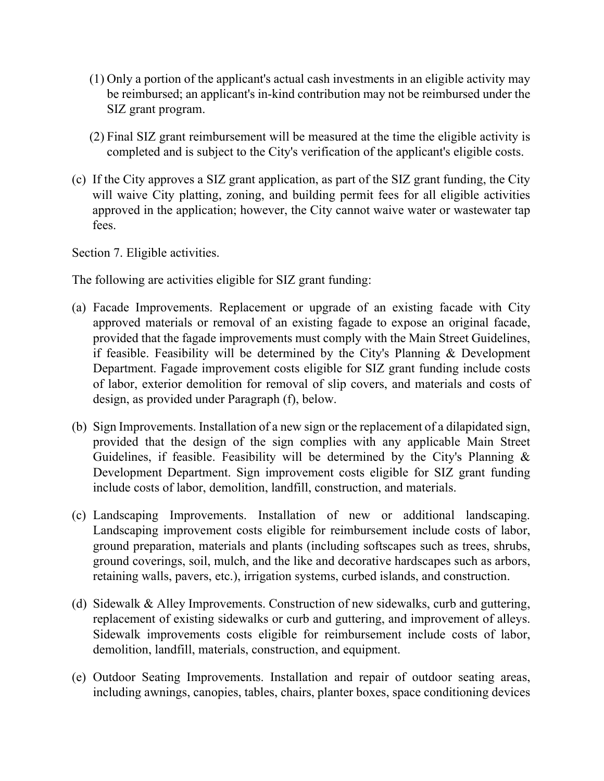- (1) Only a portion of the applicant's actual cash investments in an eligible activity may be reimbursed; an applicant's in-kind contribution may not be reimbursed under the SIZ grant program.
- (2) Final SIZ grant reimbursement will be measured at the time the eligible activity is completed and is subject to the City's verification of the applicant's eligible costs.
- (c) If the City approves a SIZ grant application, as part of the SIZ grant funding, the City will waive City platting, zoning, and building permit fees for all eligible activities approved in the application; however, the City cannot waive water or wastewater tap fees.

Section 7. Eligible activities.

The following are activities eligible for SIZ grant funding:

- (a) Facade Improvements. Replacement or upgrade of an existing facade with City approved materials or removal of an existing fagade to expose an original facade, provided that the fagade improvements must comply with the Main Street Guidelines, if feasible. Feasibility will be determined by the City's Planning & Development Department. Fagade improvement costs eligible for SIZ grant funding include costs of labor, exterior demolition for removal of slip covers, and materials and costs of design, as provided under Paragraph (f), below.
- (b) Sign Improvements. Installation of a new sign or the replacement of a dilapidated sign, provided that the design of the sign complies with any applicable Main Street Guidelines, if feasible. Feasibility will be determined by the City's Planning  $\&$ Development Department. Sign improvement costs eligible for SIZ grant funding include costs of labor, demolition, landfill, construction, and materials.
- (c) Landscaping Improvements. Installation of new or additional landscaping. Landscaping improvement costs eligible for reimbursement include costs of labor, ground preparation, materials and plants (including softscapes such as trees, shrubs, ground coverings, soil, mulch, and the like and decorative hardscapes such as arbors, retaining walls, pavers, etc.), irrigation systems, curbed islands, and construction.
- (d) Sidewalk & Alley Improvements. Construction of new sidewalks, curb and guttering, replacement of existing sidewalks or curb and guttering, and improvement of alleys. Sidewalk improvements costs eligible for reimbursement include costs of labor, demolition, landfill, materials, construction, and equipment.
- (e) Outdoor Seating Improvements. Installation and repair of outdoor seating areas, including awnings, canopies, tables, chairs, planter boxes, space conditioning devices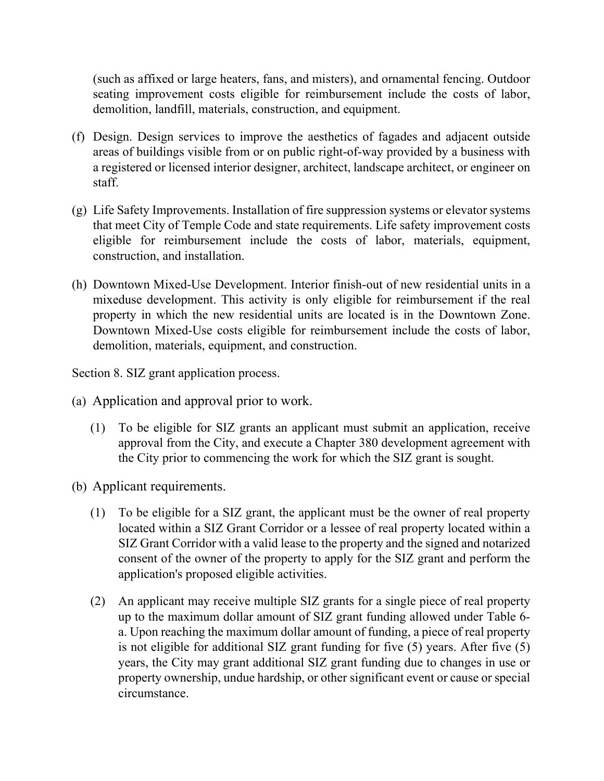(such as affixed or large heaters, fans, and misters), and ornamental fencing. Outdoor seating improvement costs eligible for reimbursement include the costs of labor, demolition, landfill, materials, construction, and equipment.

- (f) Design. Design services to improve the aesthetics of fagades and adjacent outside areas of buildings visible from or on public right-of-way provided by a business with a registered or licensed interior designer, architect, landscape architect, or engineer on staff.
- (g) Life Safety Improvements. Installation of fire suppression systems or elevator systems that meet City of Temple Code and state requirements. Life safety improvement costs eligible for reimbursement include the costs of labor, materials, equipment, construction, and installation.
- (h) Downtown Mixed-Use Development. Interior finish-out of new residential units in a mixeduse development. This activity is only eligible for reimbursement if the real property in which the new residential units are located is in the Downtown Zone. Downtown Mixed-Use costs eligible for reimbursement include the costs of labor, demolition, materials, equipment, and construction.

Section 8. SIZ grant application process.

- (a) Application and approval prior to work.
	- (1) To be eligible for SIZ grants an applicant must submit an application, receive approval from the City, and execute a Chapter 380 development agreement with the City prior to commencing the work for which the SIZ grant is sought.
- (b) Applicant requirements.
	- (1) To be eligible for a SIZ grant, the applicant must be the owner of real property located within a SIZ Grant Corridor or a lessee of real property located within a SIZ Grant Corridor with a valid lease to the property and the signed and notarized consent of the owner of the property to apply for the SIZ grant and perform the application's proposed eligible activities.
	- (2) An applicant may receive multiple SIZ grants for a single piece of real property up to the maximum dollar amount of SIZ grant funding allowed under Table 6 a. Upon reaching the maximum dollar amount of funding, a piece of real property is not eligible for additional SIZ grant funding for five (5) years. After five (5) years, the City may grant additional SIZ grant funding due to changes in use or property ownership, undue hardship, or other significant event or cause or special circumstance.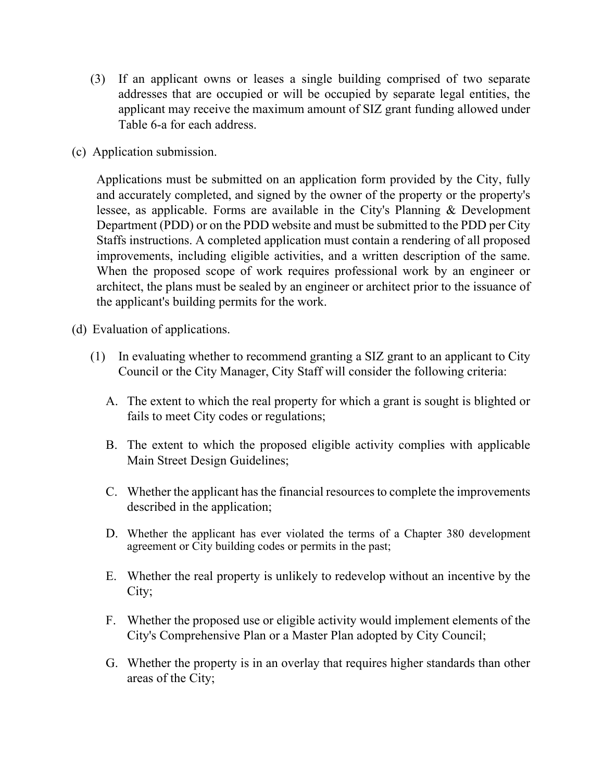- (3) If an applicant owns or leases a single building comprised of two separate addresses that are occupied or will be occupied by separate legal entities, the applicant may receive the maximum amount of SIZ grant funding allowed under Table 6-a for each address.
- (c) Application submission.

Applications must be submitted on an application form provided by the City, fully and accurately completed, and signed by the owner of the property or the property's lessee, as applicable. Forms are available in the City's Planning & Development Department (PDD) or on the PDD website and must be submitted to the PDD per City Staffs instructions. A completed application must contain a rendering of all proposed improvements, including eligible activities, and a written description of the same. When the proposed scope of work requires professional work by an engineer or architect, the plans must be sealed by an engineer or architect prior to the issuance of the applicant's building permits for the work.

- (d) Evaluation of applications.
	- (1) In evaluating whether to recommend granting a SIZ grant to an applicant to City Council or the City Manager, City Staff will consider the following criteria:
		- A. The extent to which the real property for which a grant is sought is blighted or fails to meet City codes or regulations;
		- B. The extent to which the proposed eligible activity complies with applicable Main Street Design Guidelines;
		- C. Whether the applicant has the financial resources to complete the improvements described in the application;
		- D. Whether the applicant has ever violated the terms of a Chapter 380 development agreement or City building codes or permits in the past;
		- E. Whether the real property is unlikely to redevelop without an incentive by the City;
		- F. Whether the proposed use or eligible activity would implement elements of the City's Comprehensive Plan or a Master Plan adopted by City Council;
		- G. Whether the property is in an overlay that requires higher standards than other areas of the City;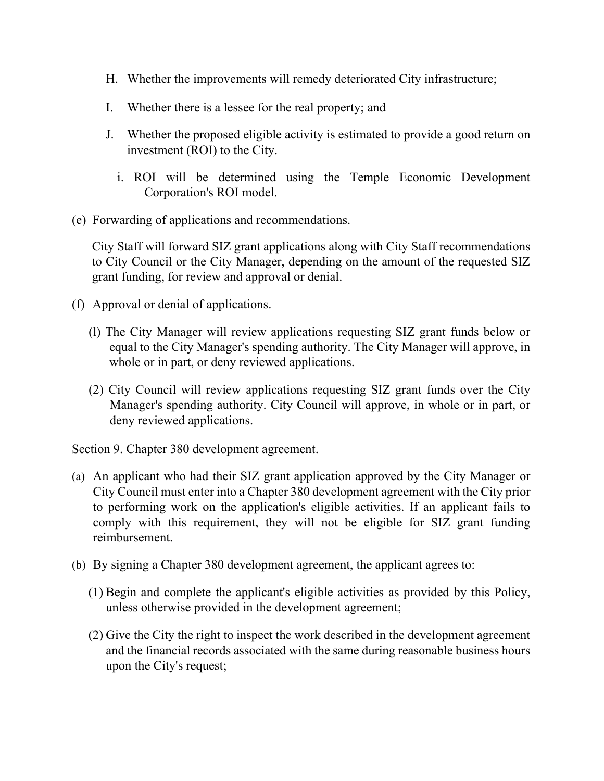- H. Whether the improvements will remedy deteriorated City infrastructure;
- I. Whether there is a lessee for the real property; and
- J. Whether the proposed eligible activity is estimated to provide a good return on investment (ROI) to the City.
	- i. ROI will be determined using the Temple Economic Development Corporation's ROI model.
- (e) Forwarding of applications and recommendations.

City Staff will forward SIZ grant applications along with City Staff recommendations to City Council or the City Manager, depending on the amount of the requested SIZ grant funding, for review and approval or denial.

- (f) Approval or denial of applications.
	- (l) The City Manager will review applications requesting SIZ grant funds below or equal to the City Manager's spending authority. The City Manager will approve, in whole or in part, or deny reviewed applications.
	- (2) City Council will review applications requesting SIZ grant funds over the City Manager's spending authority. City Council will approve, in whole or in part, or deny reviewed applications.

Section 9. Chapter 380 development agreement.

- (a) An applicant who had their SIZ grant application approved by the City Manager or City Council must enter into a Chapter 380 development agreement with the City prior to performing work on the application's eligible activities. If an applicant fails to comply with this requirement, they will not be eligible for SIZ grant funding reimbursement.
- (b) By signing a Chapter 380 development agreement, the applicant agrees to:
	- (1) Begin and complete the applicant's eligible activities as provided by this Policy, unless otherwise provided in the development agreement;
	- (2) Give the City the right to inspect the work described in the development agreement and the financial records associated with the same during reasonable business hours upon the City's request;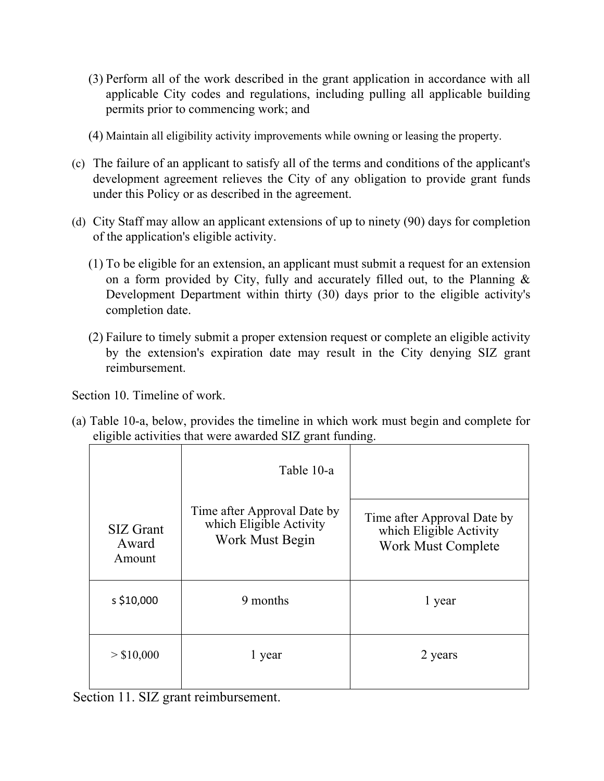- (3) Perform all of the work described in the grant application in accordance with all applicable City codes and regulations, including pulling all applicable building permits prior to commencing work; and
- (4) Maintain all eligibility activity improvements while owning or leasing the property.
- (c) The failure of an applicant to satisfy all of the terms and conditions of the applicant's development agreement relieves the City of any obligation to provide grant funds under this Policy or as described in the agreement.
- (d) City Staff may allow an applicant extensions of up to ninety (90) days for completion of the application's eligible activity.
	- (1) To be eligible for an extension, an applicant must submit a request for an extension on a form provided by City, fully and accurately filled out, to the Planning & Development Department within thirty (30) days prior to the eligible activity's completion date.
	- (2) Failure to timely submit a proper extension request or complete an eligible activity by the extension's expiration date may result in the City denying SIZ grant reimbursement.

Section 10. Timeline of work.

(a) Table 10-a, below, provides the timeline in which work must begin and complete for eligible activities that were awarded SIZ grant funding.

|                              | Table 10-a                                                                |                                                                              |
|------------------------------|---------------------------------------------------------------------------|------------------------------------------------------------------------------|
| SIZ Grant<br>Award<br>Amount | Time after Approval Date by<br>which Eligible Activity<br>Work Must Begin | Time after Approval Date by<br>which Eligible Activity<br>Work Must Complete |
| s \$10,000                   | 9 months                                                                  | 1 year                                                                       |
| > \$10,000                   | 1 year                                                                    | 2 years                                                                      |

Section 11. SIZ grant reimbursement.